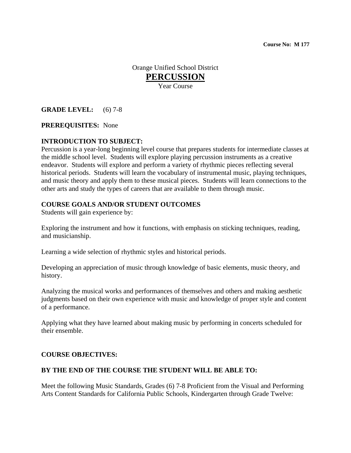**Course No: M 177** 

Orange Unified School District **PERCUSSION** Year Course

### **GRADE LEVEL:** (6) 7-8

#### **PREREQUISITES:** None

#### **INTRODUCTION TO SUBJECT:**

Percussion is a year-long beginning level course that prepares students for intermediate classes at the middle school level. Students will explore playing percussion instruments as a creative endeavor. Students will explore and perform a variety of rhythmic pieces reflecting several historical periods. Students will learn the vocabulary of instrumental music, playing techniques, and music theory and apply them to these musical pieces. Students will learn connections to the other arts and study the types of careers that are available to them through music.

#### **COURSE GOALS AND/OR STUDENT OUTCOMES**

Students will gain experience by:

Exploring the instrument and how it functions, with emphasis on sticking techniques, reading, and musicianship.

Learning a wide selection of rhythmic styles and historical periods.

Developing an appreciation of music through knowledge of basic elements, music theory, and history.

Analyzing the musical works and performances of themselves and others and making aesthetic judgments based on their own experience with music and knowledge of proper style and content of a performance.

Applying what they have learned about making music by performing in concerts scheduled for their ensemble.

#### **COURSE OBJECTIVES:**

#### **BY THE END OF THE COURSE THE STUDENT WILL BE ABLE TO:**

Meet the following Music Standards, Grades (6) 7-8 Proficient from the Visual and Performing Arts Content Standards for California Public Schools, Kindergarten through Grade Twelve: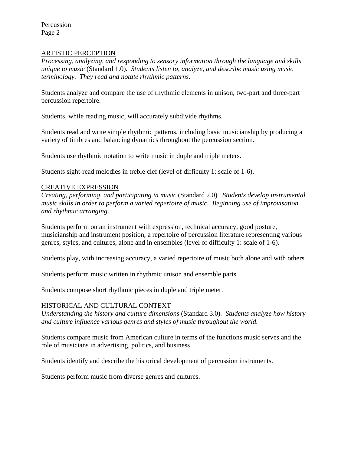Percussion Page 2

### ARTISTIC PERCEPTION

*Processing, analyzing, and responding to sensory information through the language and skills unique to music* (Standard 1.0)*. Students listen to, analyze, and describe music using music terminology. They read and notate rhythmic patterns.* 

Students analyze and compare the use of rhythmic elements in unison, two-part and three-part percussion repertoire.

Students, while reading music, will accurately subdivide rhythms.

Students read and write simple rhythmic patterns, including basic musicianship by producing a variety of timbres and balancing dynamics throughout the percussion section.

Students use rhythmic notation to write music in duple and triple meters.

Students sight-read melodies in treble clef (level of difficulty 1: scale of 1-6).

#### CREATIVE EXPRESSION

*Creating, performing, and participating in music* (Standard 2.0)*. Students develop instrumental music skills in order to perform a varied repertoire of music. Beginning use of improvisation and rhythmic arranging*.

Students perform on an instrument with expression, technical accuracy, good posture, musicianship and instrument position, a repertoire of percussion literature representing various genres, styles, and cultures, alone and in ensembles (level of difficulty 1: scale of 1-6).

Students play, with increasing accuracy, a varied repertoire of music both alone and with others.

Students perform music written in rhythmic unison and ensemble parts.

Students compose short rhythmic pieces in duple and triple meter.

#### HISTORICAL AND CULTURAL CONTEXT

*Understanding the history and culture dimensions* (Standard 3.0)*. Students analyze how history and culture influence various genres and styles of music throughout the world.* 

Students compare music from American culture in terms of the functions music serves and the role of musicians in advertising, politics, and business.

Students identify and describe the historical development of percussion instruments.

Students perform music from diverse genres and cultures.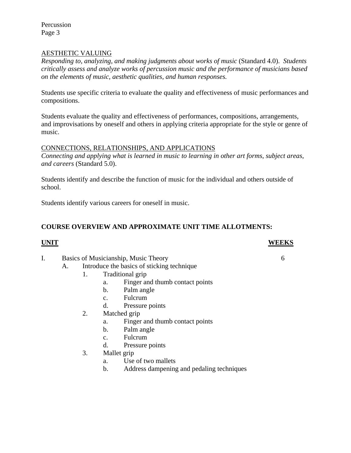Percussion Page 3

# AESTHETIC VALUING

*Responding to, analyzing, and making judgments about works of music* (Standard 4.0). *Students critically assess and analyze works of percussion music and the performance of musicians based on the elements of music, aesthetic qualities, and human responses.* 

Students use specific criteria to evaluate the quality and effectiveness of music performances and compositions.

Students evaluate the quality and effectiveness of performances, compositions, arrangements, and improvisations by oneself and others in applying criteria appropriate for the style or genre of music.

#### CONNECTIONS, RELATIONSHIPS, AND APPLICATIONS

*Connecting and applying what is learned in music to learning in other art forms, subject areas, and careers* (Standard 5.0).

Students identify and describe the function of music for the individual and others outside of school.

Students identify various careers for oneself in music.

# **COURSE OVERVIEW AND APPROXIMATE UNIT TIME ALLOTMENTS:**

# **UNIT WEEKS**

- I. Basics of Musicianship, Music Theory 6
	- A. Introduce the basics of sticking technique
		- 1. Traditional grip
			- a. Finger and thumb contact points
			- b. Palm angle
			- c. Fulcrum
			- d. Pressure points
		- 2. Matched grip
			- a. Finger and thumb contact points
			- b. Palm angle
			- c. Fulcrum
			- d. Pressure points
		- 3. Mallet grip
			- a. Use of two mallets
			- b. Address dampening and pedaling techniques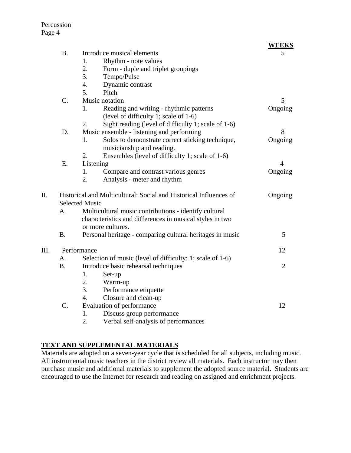|      |                                                                   |                                                           | <b>WEEKS</b>   |
|------|-------------------------------------------------------------------|-----------------------------------------------------------|----------------|
|      | <b>B.</b>                                                         | Introduce musical elements                                | 5              |
|      |                                                                   | Rhythm - note values<br>1.                                |                |
|      |                                                                   | 2.<br>Form - duple and triplet groupings                  |                |
|      |                                                                   | 3.<br>Tempo/Pulse                                         |                |
|      |                                                                   | Dynamic contrast<br>4.                                    |                |
|      |                                                                   | 5.<br>Pitch                                               |                |
|      | C.                                                                | Music notation                                            | 5              |
|      |                                                                   | Reading and writing - rhythmic patterns<br>1.             | Ongoing        |
|      |                                                                   | (level of difficulty 1; scale of 1-6)                     |                |
|      |                                                                   | Sight reading (level of difficulty 1; scale of 1-6)<br>2. |                |
|      | D.                                                                | Music ensemble - listening and performing                 | 8              |
|      |                                                                   | Solos to demonstrate correct sticking technique,<br>1.    | Ongoing        |
|      |                                                                   | musicianship and reading.                                 |                |
|      |                                                                   | 2.<br>Ensembles (level of difficulty 1; scale of 1-6)     |                |
|      | E.                                                                | Listening                                                 | $\overline{4}$ |
|      |                                                                   | 1.<br>Compare and contrast various genres                 | Ongoing        |
|      |                                                                   | 2.<br>Analysis - meter and rhythm                         |                |
| II.  | Historical and Multicultural: Social and Historical Influences of |                                                           | Ongoing        |
|      | <b>Selected Music</b>                                             |                                                           |                |
|      | А.                                                                | Multicultural music contributions - identify cultural     |                |
|      |                                                                   | characteristics and differences in musical styles in two  |                |
|      |                                                                   | or more cultures.                                         |                |
|      | <b>B.</b>                                                         | Personal heritage - comparing cultural heritages in music | 5              |
| III. | Performance                                                       |                                                           | 12             |
|      | A.                                                                | Selection of music (level of difficulty: 1; scale of 1-6) |                |
|      | <b>B.</b>                                                         | Introduce basic rehearsal techniques                      | $\overline{2}$ |
|      |                                                                   | 1.<br>Set-up                                              |                |
|      |                                                                   | 2.<br>Warm-up                                             |                |
|      |                                                                   | 3.<br>Performance etiquette                               |                |
|      |                                                                   | Closure and clean-up<br>$\overline{4}$ .                  |                |
|      | C.                                                                | Evaluation of performance                                 | 12             |
|      |                                                                   | Discuss group performance<br>1.                           |                |

2. Verbal self-analysis of performances

# **TEXT AND SUPPLEMENTAL MATERIALS**

Materials are adopted on a seven-year cycle that is scheduled for all subjects, including music. All instrumental music teachers in the district review all materials. Each instructor may then purchase music and additional materials to supplement the adopted source material. Students are encouraged to use the Internet for research and reading on assigned and enrichment projects.